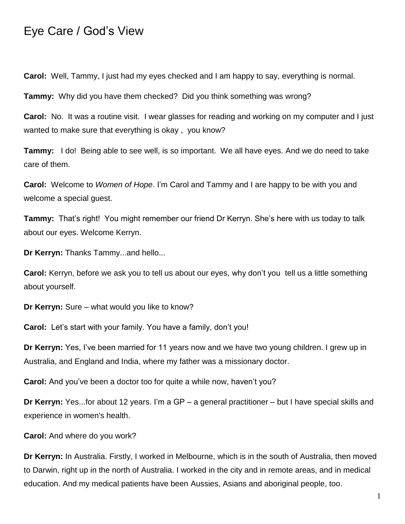## Eye Care / God's View

**Carol:** Well, Tammy, I just had my eyes checked and I am happy to say, everything is normal.

**Tammy:** Why did you have them checked? Did you think something was wrong?

**Carol:** No. It was a routine visit. I wear glasses for reading and working on my computer and I just wanted to make sure that everything is okay , you know?

**Tammy:** I do! Being able to see well, is so important. We all have eyes. And we do need to take care of them.

**Carol:** Welcome to *Women of Hope*. I'm Carol and Tammy and I are happy to be with you and welcome a special guest.

**Tammy:** That's right! You might remember our friend Dr Kerryn. She's here with us today to talk about our eyes. Welcome Kerryn.

**Dr Kerryn:** Thanks Tammy...and hello...

**Carol:** Kerryn, before we ask you to tell us about our eyes, why don't you tell us a little something about yourself.

**Dr Kerryn:** Sure – what would you like to know?

**Carol:** Let's start with your family. You have a family, don't you!

**Dr Kerryn:** Yes, I've been married for 11 years now and we have two young children. I grew up in Australia, and England and India, where my father was a missionary doctor.

**Carol:** And you've been a doctor too for quite a while now, haven't you?

**Dr Kerryn:** Yes...for about 12 years. I'm a GP – a general practitioner – but I have special skills and experience in women's health.

**Carol:** And where do you work?

**Dr Kerryn:** In Australia. Firstly, I worked in Melbourne, which is in the south of Australia, then moved to Darwin, right up in the north of Australia. I worked in the city and in remote areas, and in medical education. And my medical patients have been Aussies, Asians and aboriginal people, too.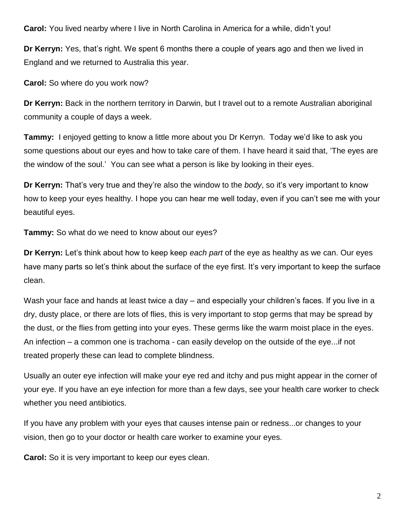**Carol:** You lived nearby where I live in North Carolina in America for a while, didn't you!

**Dr Kerryn:** Yes, that's right. We spent 6 months there a couple of years ago and then we lived in England and we returned to Australia this year.

**Carol:** So where do you work now?

**Dr Kerryn:** Back in the northern territory in Darwin, but I travel out to a remote Australian aboriginal community a couple of days a week.

**Tammy:** I enjoyed getting to know a little more about you Dr Kerryn. Today we'd like to ask you some questions about our eyes and how to take care of them. I have heard it said that, 'The eyes are the window of the soul.' You can see what a person is like by looking in their eyes.

**Dr Kerryn:** That's very true and they're also the window to the *body*, so it's very important to know how to keep your eyes healthy. I hope you can hear me well today, even if you can't see me with your beautiful eyes.

**Tammy:** So what do we need to know about our eyes?

**Dr Kerryn:** Let's think about how to keep keep *each part* of the eye as healthy as we can. Our eyes have many parts so let's think about the surface of the eye first. It's very important to keep the surface clean.

Wash your face and hands at least twice a day – and especially your children's faces. If you live in a dry, dusty place, or there are lots of flies, this is very important to stop germs that may be spread by the dust, or the flies from getting into your eyes. These germs like the warm moist place in the eyes. An infection – a common one is trachoma - can easily develop on the outside of the eye...if not treated properly these can lead to complete blindness.

Usually an outer eye infection will make your eye red and itchy and pus might appear in the corner of your eye. If you have an eye infection for more than a few days, see your health care worker to check whether you need antibiotics.

If you have any problem with your eyes that causes intense pain or redness...or changes to your vision, then go to your doctor or health care worker to examine your eyes.

**Carol:** So it is very important to keep our eyes clean.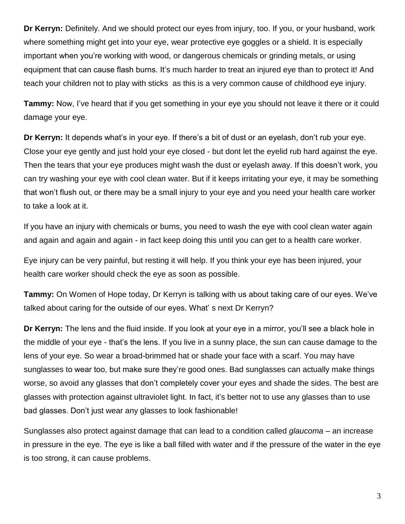**Dr Kerryn:** Definitely. And we should protect our eyes from injury, too. If you, or your husband, work where something might get into your eye, wear protective eye goggles or a shield. It is especially important when you're working with wood, or dangerous chemicals or grinding metals, or using equipment that can cause flash burns. It's much harder to treat an injured eye than to protect it! And teach your children not to play with sticks as this is a very common cause of childhood eye injury.

**Tammy:** Now, I've heard that if you get something in your eye you should not leave it there or it could damage your eye.

**Dr Kerryn:** It depends what's in your eye. If there's a bit of dust or an eyelash, don't rub your eye. Close your eye gently and just hold your eye closed - but dont let the eyelid rub hard against the eye. Then the tears that your eye produces might wash the dust or eyelash away. If this doesn't work, you can try washing your eye with cool clean water. But if it keeps irritating your eye, it may be something that won't flush out, or there may be a small injury to your eye and you need your health care worker to take a look at it.

If you have an injury with chemicals or burns, you need to wash the eye with cool clean water again and again and again and again - in fact keep doing this until you can get to a health care worker.

Eye injury can be very painful, but resting it will help. If you think your eye has been injured, your health care worker should check the eye as soon as possible.

**Tammy:** On Women of Hope today, Dr Kerryn is talking with us about taking care of our eyes. We've talked about caring for the outside of our eyes. What' s next Dr Kerryn?

**Dr Kerryn:** The lens and the fluid inside. If you look at your eye in a mirror, you'll see a black hole in the middle of your eye - that's the lens. If you live in a sunny place, the sun can cause damage to the lens of your eye. So wear a broad-brimmed hat or shade your face with a scarf. You may have sunglasses to wear too, but make sure they're good ones. Bad sunglasses can actually make things worse, so avoid any glasses that don't completely cover your eyes and shade the sides. The best are glasses with protection against ultraviolet light. In fact, it's better not to use any glasses than to use bad glasses. Don't just wear any glasses to look fashionable!

Sunglasses also protect against damage that can lead to a condition called *glaucoma* – an increase in pressure in the eye. The eye is like a ball filled with water and if the pressure of the water in the eye is too strong, it can cause problems.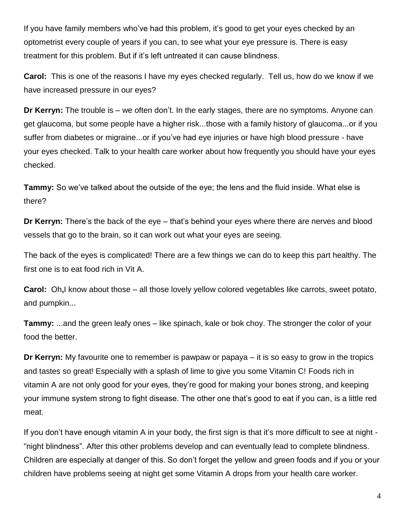If you have family members who've had this problem, it's good to get your eyes checked by an optometrist every couple of years if you can, to see what your eye pressure is. There is easy treatment for this problem. But if it's left untreated it can cause blindness.

**Carol:** This is one of the reasons I have my eyes checked regularly. Tell us, how do we know if we have increased pressure in our eyes?

**Dr Kerryn:** The trouble is – we often don't. In the early stages, there are no symptoms. Anyone can get glaucoma, but some people have a higher risk...those with a family history of glaucoma...or if you suffer from diabetes or migraine...or if you've had eye injuries or have high blood pressure - have your eyes checked. Talk to your health care worker about how frequently you should have your eyes checked.

**Tammy:** So we've talked about the outside of the eye; the lens and the fluid inside. What else is there?

**Dr Kerryn:** There's the back of the eye – that's behind your eyes where there are nerves and blood vessels that go to the brain, so it can work out what your eyes are seeing.

The back of the eyes is complicated! There are a few things we can do to keep this part healthy. The first one is to eat food rich in Vit A.

**Carol:** Oh**,**I know about those – all those lovely yellow colored vegetables like carrots, sweet potato, and pumpkin...

**Tammy:** ...and the green leafy ones – like spinach, kale or bok choy. The stronger the color of your food the better.

**Dr Kerryn:** My favourite one to remember is pawpaw or papaya – it is so easy to grow in the tropics and tastes so great! Especially with a splash of lime to give you some Vitamin C! Foods rich in vitamin A are not only good for your eyes, they're good for making your bones strong, and keeping your immune system strong to fight disease. The other one that's good to eat if you can, is a little red meat.

If you don't have enough vitamin A in your body, the first sign is that it's more difficult to see at night - "night blindness". After this other problems develop and can eventually lead to complete blindness. Children are especially at danger of this. So don't forget the yellow and green foods and if you or your children have problems seeing at night get some Vitamin A drops from your health care worker.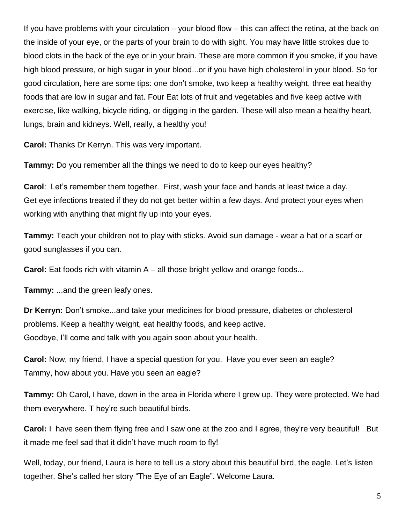If you have problems with your circulation – your blood flow – this can affect the retina, at the back on the inside of your eye, or the parts of your brain to do with sight. You may have little strokes due to blood clots in the back of the eye or in your brain. These are more common if you smoke, if you have high blood pressure, or high sugar in your blood...or if you have high cholesterol in your blood. So for good circulation, here are some tips: one don't smoke, two keep a healthy weight, three eat healthy foods that are low in sugar and fat. Four Eat lots of fruit and vegetables and five keep active with exercise, like walking, bicycle riding, or digging in the garden. These will also mean a healthy heart, lungs, brain and kidneys. Well, really, a healthy you!

**Carol:** Thanks Dr Kerryn. This was very important.

**Tammy:** Do you remember all the things we need to do to keep our eyes healthy?

**Carol**: Let's remember them together. First, wash your face and hands at least twice a day. Get eye infections treated if they do not get better within a few days. And protect your eyes when working with anything that might fly up into your eyes.

**Tammy:** Teach your children not to play with sticks. Avoid sun damage - wear a hat or a scarf or good sunglasses if you can.

**Carol:** Eat foods rich with vitamin A – all those bright yellow and orange foods...

**Tammy:** ...and the green leafy ones.

**Dr Kerryn:** Don't smoke...and take your medicines for blood pressure, diabetes or cholesterol problems. Keep a healthy weight, eat healthy foods, and keep active. Goodbye, I'll come and talk with you again soon about your health.

**Carol:** Now, my friend, I have a special question for you. Have you ever seen an eagle? Tammy, how about you. Have you seen an eagle?

**Tammy:** Oh Carol, I have, down in the area in Florida where I grew up. They were protected. We had them everywhere. T hey're such beautiful birds.

**Carol:** I have seen them flying free and I saw one at the zoo and I agree, they're very beautiful! But it made me feel sad that it didn't have much room to fly!

Well, today, our friend, Laura is here to tell us a story about this beautiful bird, the eagle. Let's listen together. She's called her story "The Eye of an Eagle". Welcome Laura.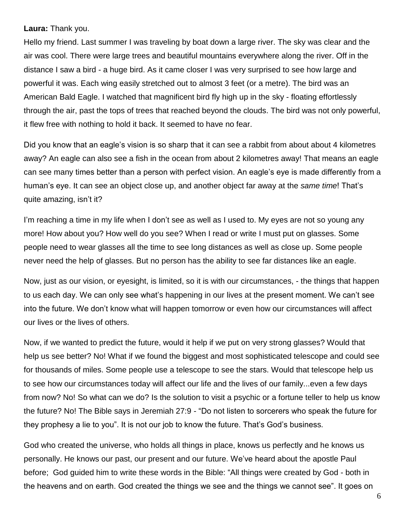**Laura:** Thank you.

Hello my friend. Last summer I was traveling by boat down a large river. The sky was clear and the air was cool. There were large trees and beautiful mountains everywhere along the river. Off in the distance I saw a bird - a huge bird. As it came closer I was very surprised to see how large and powerful it was. Each wing easily stretched out to almost 3 feet (or a metre). The bird was an American Bald Eagle. I watched that magnificent bird fly high up in the sky - floating effortlessly through the air, past the tops of trees that reached beyond the clouds. The bird was not only powerful, it flew free with nothing to hold it back. It seemed to have no fear.

Did you know that an eagle's vision is so sharp that it can see a rabbit from about about 4 kilometres away? An eagle can also see a fish in the ocean from about 2 kilometres away! That means an eagle can see many times better than a person with perfect vision. An eagle's eye is made differently from a human's eye. It can see an object close up, and another object far away at the *same time*! That's quite amazing, isn't it?

I'm reaching a time in my life when I don't see as well as I used to. My eyes are not so young any more! How about you? How well do you see? When I read or write I must put on glasses. Some people need to wear glasses all the time to see long distances as well as close up. Some people never need the help of glasses. But no person has the ability to see far distances like an eagle.

Now, just as our vision, or eyesight, is limited, so it is with our circumstances, - the things that happen to us each day. We can only see what's happening in our lives at the present moment. We can't see into the future. We don't know what will happen tomorrow or even how our circumstances will affect our lives or the lives of others.

Now, if we wanted to predict the future, would it help if we put on very strong glasses? Would that help us see better? No! What if we found the biggest and most sophisticated telescope and could see for thousands of miles. Some people use a telescope to see the stars. Would that telescope help us to see how our circumstances today will affect our life and the lives of our family...even a few days from now? No! So what can we do? Is the solution to visit a psychic or a fortune teller to help us know the future? No! The Bible says in Jeremiah 27:9 - "Do not listen to sorcerers who speak the future for they prophesy a lie to you". It is not our job to know the future. That's God's business.

God who created the universe, who holds all things in place, knows us perfectly and he knows us personally. He knows our past, our present and our future. We've heard about the apostle Paul before; God guided him to write these words in the Bible: "All things were created by God - both in the heavens and on earth. God created the things we see and the things we cannot see". It goes on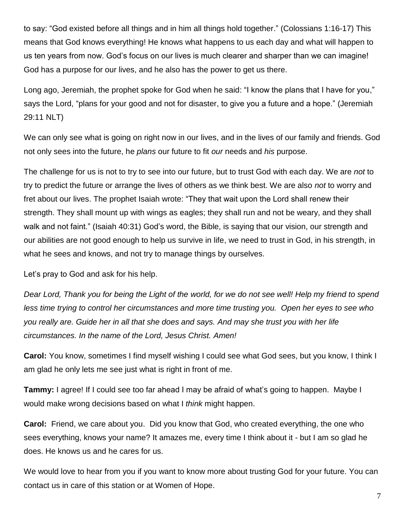to say: "God existed before all things and in him all things hold together." (Colossians 1:16-17) This means that God knows everything! He knows what happens to us each day and what will happen to us ten years from now. God's focus on our lives is much clearer and sharper than we can imagine! God has a purpose for our lives, and he also has the power to get us there.

Long ago, Jeremiah, the prophet spoke for God when he said: "I know the plans that I have for you," says the Lord, "plans for your good and not for disaster, to give you a future and a hope." (Jeremiah 29:11 NLT)

We can only see what is going on right now in our lives, and in the lives of our family and friends. God not only sees into the future, he *plans* our future to fit *our* needs and *his* purpose.

The challenge for us is not to try to see into our future, but to trust God with each day. We are *not* to try to predict the future or arrange the lives of others as we think best. We are also *not* to worry and fret about our lives. The prophet Isaiah wrote: "They that wait upon the Lord shall renew their strength. They shall mount up with wings as eagles; they shall run and not be weary, and they shall walk and not faint." (Isaiah 40:31) God's word, the Bible, is saying that our vision, our strength and our abilities are not good enough to help us survive in life, we need to trust in God, in his strength, in what he sees and knows, and not try to manage things by ourselves.

Let's pray to God and ask for his help.

*Dear Lord, Thank you for being the Light of the world, for we do not see well! Help my friend to spend less time trying to control her circumstances and more time trusting you. Open her eyes to see who you really are. Guide her in all that she does and says. And may she trust you with her life circumstances. In the name of the Lord, Jesus Christ. Amen!*

**Carol:** You know, sometimes I find myself wishing I could see what God sees, but you know, I think I am glad he only lets me see just what is right in front of me.

**Tammy:** I agree! If I could see too far ahead I may be afraid of what's going to happen. Maybe I would make wrong decisions based on what I *think* might happen.

**Carol:** Friend, we care about you. Did you know that God, who created everything, the one who sees everything, knows your name? It amazes me, every time I think about it - but I am so glad he does. He knows us and he cares for us.

We would love to hear from you if you want to know more about trusting God for your future. You can contact us in care of this station or at Women of Hope.